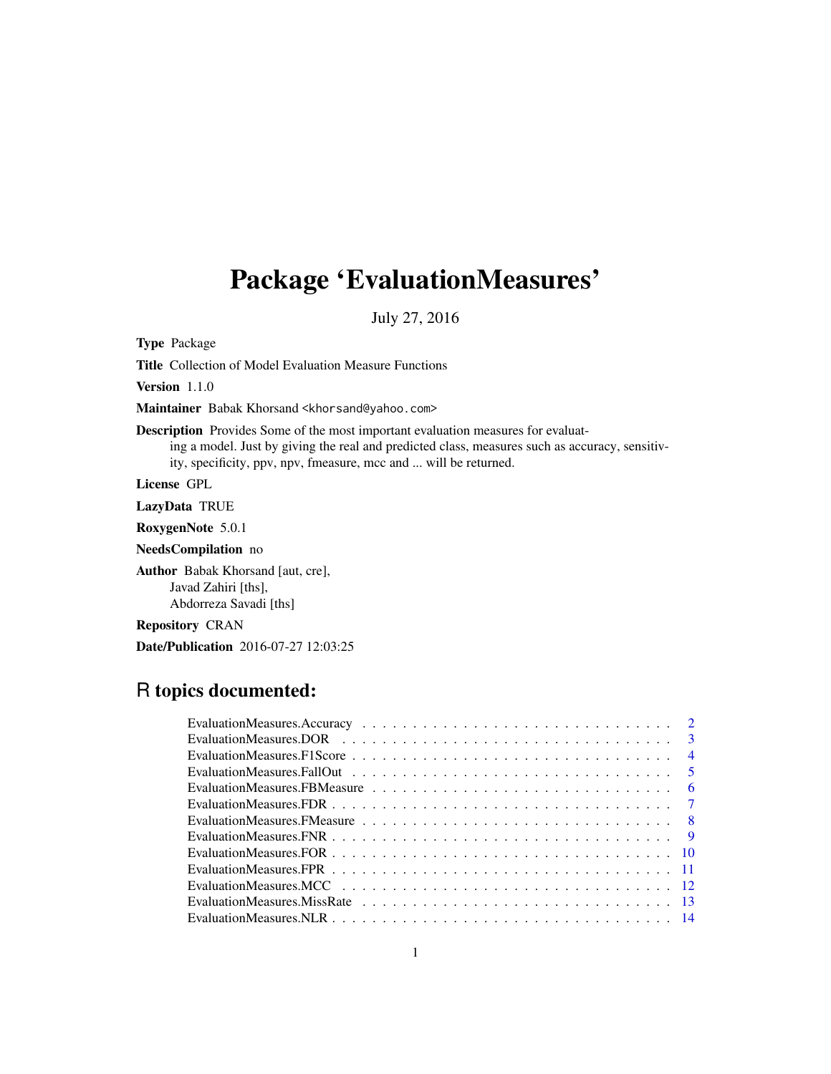# Package 'EvaluationMeasures'

July 27, 2016

Type Package

Title Collection of Model Evaluation Measure Functions

Version 1.1.0

Maintainer Babak Khorsand <khorsand@yahoo.com>

Description Provides Some of the most important evaluation measures for evaluat-

ing a model. Just by giving the real and predicted class, measures such as accuracy, sensitivity, specificity, ppv, npv, fmeasure, mcc and ... will be returned.

License GPL

LazyData TRUE

RoxygenNote 5.0.1

NeedsCompilation no

Author Babak Khorsand [aut, cre], Javad Zahiri [ths], Abdorreza Savadi [ths]

Repository CRAN

Date/Publication 2016-07-27 12:03:25

# R topics documented:

| $\overline{4}$ |
|----------------|
|                |
| - 6            |
|                |
|                |
|                |
|                |
|                |
|                |
|                |
|                |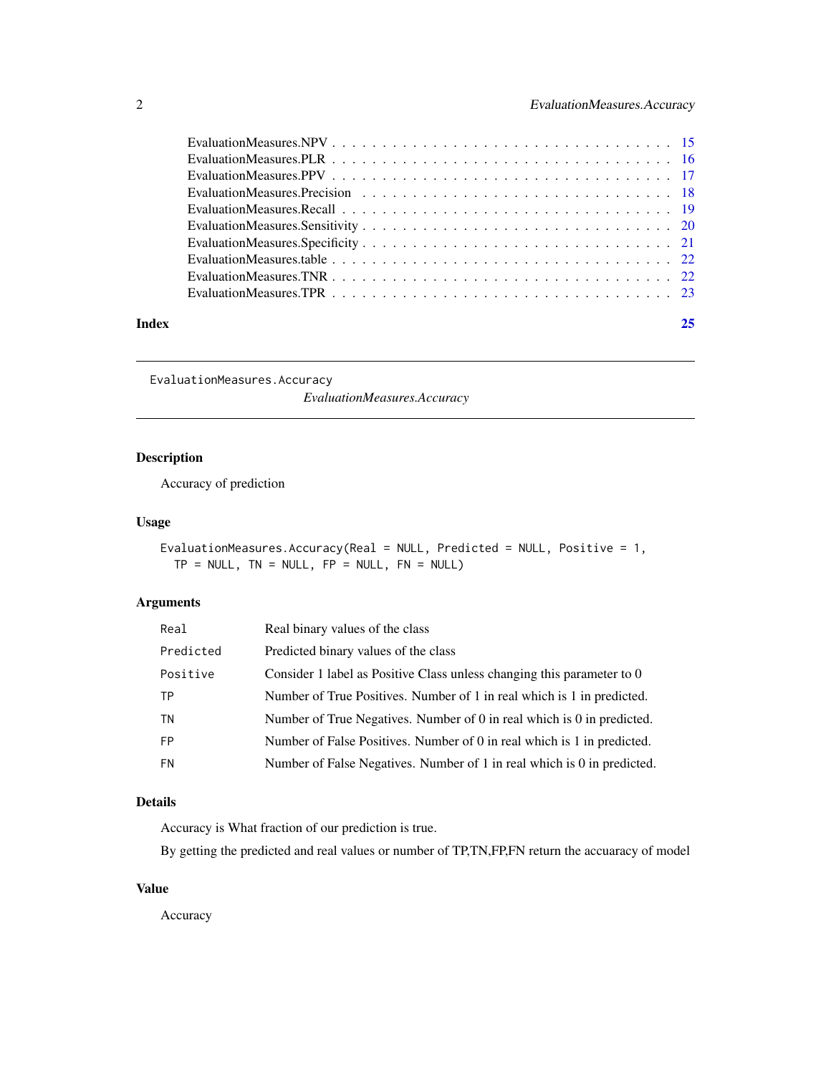<span id="page-1-0"></span>

|       | EvaluationMeasures.TPR $\ldots$ , $\ldots$ , $\ldots$ , $\ldots$ , $\ldots$ , $\ldots$ , $\ldots$ , $\ldots$ , $\ldots$ , $\ldots$ , $\ldots$ , $\ldots$ , $\ldots$ |    |
|-------|---------------------------------------------------------------------------------------------------------------------------------------------------------------------|----|
| Index |                                                                                                                                                                     | 25 |

EvaluationMeasures.Accuracy

*EvaluationMeasures.Accuracy*

# Description

Accuracy of prediction

# Usage

EvaluationMeasures.Accuracy(Real = NULL, Predicted = NULL, Positive = 1,  $TP = NULL$ ,  $TN = NULL$ ,  $FP = NULL$ ,  $FN = NULL$ )

# Arguments

| Real      | Real binary values of the class                                         |
|-----------|-------------------------------------------------------------------------|
| Predicted | Predicted binary values of the class                                    |
| Positive  | Consider 1 label as Positive Class unless changing this parameter to 0  |
| TP        | Number of True Positives. Number of 1 in real which is 1 in predicted.  |
| TN        | Number of True Negatives. Number of 0 in real which is 0 in predicted.  |
| <b>FP</b> | Number of False Positives. Number of 0 in real which is 1 in predicted. |
| FN        | Number of False Negatives. Number of 1 in real which is 0 in predicted. |

#### Details

Accuracy is What fraction of our prediction is true.

By getting the predicted and real values or number of TP,TN,FP,FN return the accuaracy of model

# Value

Accuracy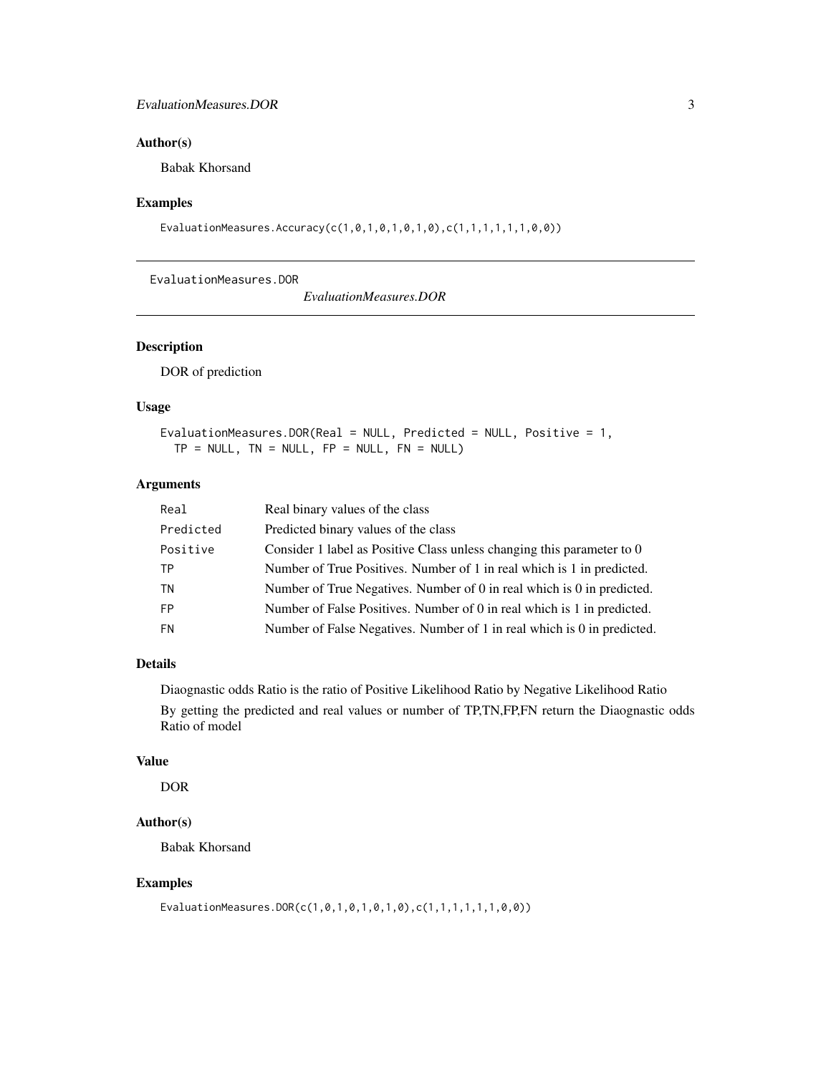#### <span id="page-2-0"></span>EvaluationMeasures.DOR 3

#### Author(s)

Babak Khorsand

#### Examples

EvaluationMeasures.Accuracy(c(1,0,1,0,1,0,1,0),c(1,1,1,1,1,1,0,0))

EvaluationMeasures.DOR

*EvaluationMeasures.DOR*

#### Description

DOR of prediction

#### Usage

```
EvaluationMeasures.DOR(Real = NULL, Predicted = NULL, Positive = 1,
TP = NULL, TN = NULL, FP = NULL, FN = NULL)
```
#### Arguments

| Real      | Real binary values of the class                                         |
|-----------|-------------------------------------------------------------------------|
| Predicted | Predicted binary values of the class                                    |
| Positive  | Consider 1 label as Positive Class unless changing this parameter to 0  |
| TP        | Number of True Positives. Number of 1 in real which is 1 in predicted.  |
| TN        | Number of True Negatives. Number of 0 in real which is 0 in predicted.  |
| <b>FP</b> | Number of False Positives. Number of 0 in real which is 1 in predicted. |
| <b>FN</b> | Number of False Negatives. Number of 1 in real which is 0 in predicted. |

# Details

Diaognastic odds Ratio is the ratio of Positive Likelihood Ratio by Negative Likelihood Ratio By getting the predicted and real values or number of TP,TN,FP,FN return the Diaognastic odds Ratio of model

#### Value

DOR

#### Author(s)

Babak Khorsand

#### Examples

EvaluationMeasures.DOR(c(1,0,1,0,1,0,1,0),c(1,1,1,1,1,1,0,0))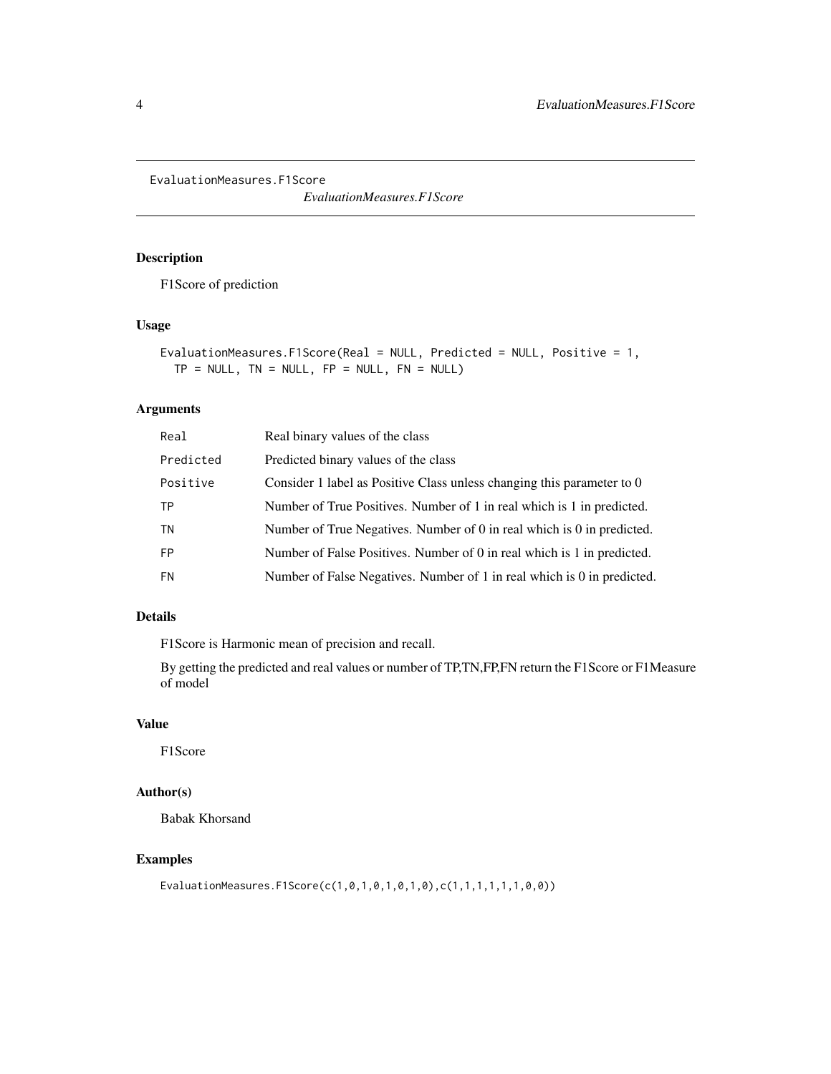<span id="page-3-0"></span>EvaluationMeasures.F1Score

*EvaluationMeasures.F1Score*

#### Description

F1Score of prediction

#### Usage

```
EvaluationMeasures.F1Score(Real = NULL, Predicted = NULL, Positive = 1,
TP = NULL, TN = NULL, FP = NULL, FN = NULL)
```
#### Arguments

| Real      | Real binary values of the class                                         |
|-----------|-------------------------------------------------------------------------|
| Predicted | Predicted binary values of the class                                    |
| Positive  | Consider 1 label as Positive Class unless changing this parameter to 0  |
| TР        | Number of True Positives. Number of 1 in real which is 1 in predicted.  |
| ΤN        | Number of True Negatives. Number of 0 in real which is 0 in predicted.  |
| FP        | Number of False Positives. Number of 0 in real which is 1 in predicted. |
| FN        | Number of False Negatives. Number of 1 in real which is 0 in predicted. |
|           |                                                                         |

#### Details

F1Score is Harmonic mean of precision and recall.

By getting the predicted and real values or number of TP,TN,FP,FN return the F1Score or F1Measure of model

# Value

F1Score

# Author(s)

Babak Khorsand

#### Examples

EvaluationMeasures.F1Score(c(1,0,1,0,1,0,1,0),c(1,1,1,1,1,1,0,0))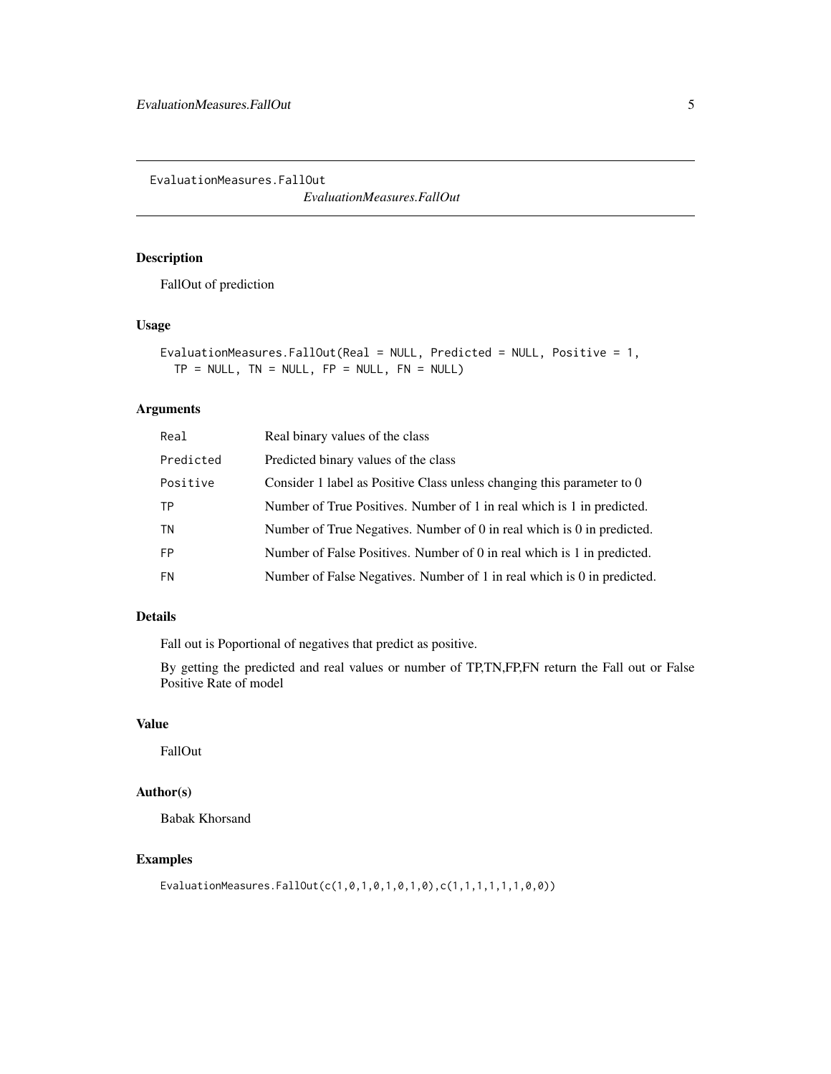<span id="page-4-0"></span>EvaluationMeasures.FallOut

*EvaluationMeasures.FallOut*

#### Description

FallOut of prediction

#### Usage

```
EvaluationMeasures.FallOut(Real = NULL, Predicted = NULL, Positive = 1,
TP = NULL, TN = NULL, FP = NULL, FN = NULL)
```
#### Arguments

| Real      | Real binary values of the class                                         |
|-----------|-------------------------------------------------------------------------|
| Predicted | Predicted binary values of the class                                    |
| Positive  | Consider 1 label as Positive Class unless changing this parameter to 0  |
| ТP        | Number of True Positives. Number of 1 in real which is 1 in predicted.  |
| TN        | Number of True Negatives. Number of 0 in real which is 0 in predicted.  |
| <b>FP</b> | Number of False Positives. Number of 0 in real which is 1 in predicted. |
| <b>FN</b> | Number of False Negatives. Number of 1 in real which is 0 in predicted. |
|           |                                                                         |

#### Details

Fall out is Poportional of negatives that predict as positive.

By getting the predicted and real values or number of TP,TN,FP,FN return the Fall out or False Positive Rate of model

# Value

FallOut

# Author(s)

Babak Khorsand

#### Examples

EvaluationMeasures.FallOut(c(1,0,1,0,1,0,1,0),c(1,1,1,1,1,1,0,0))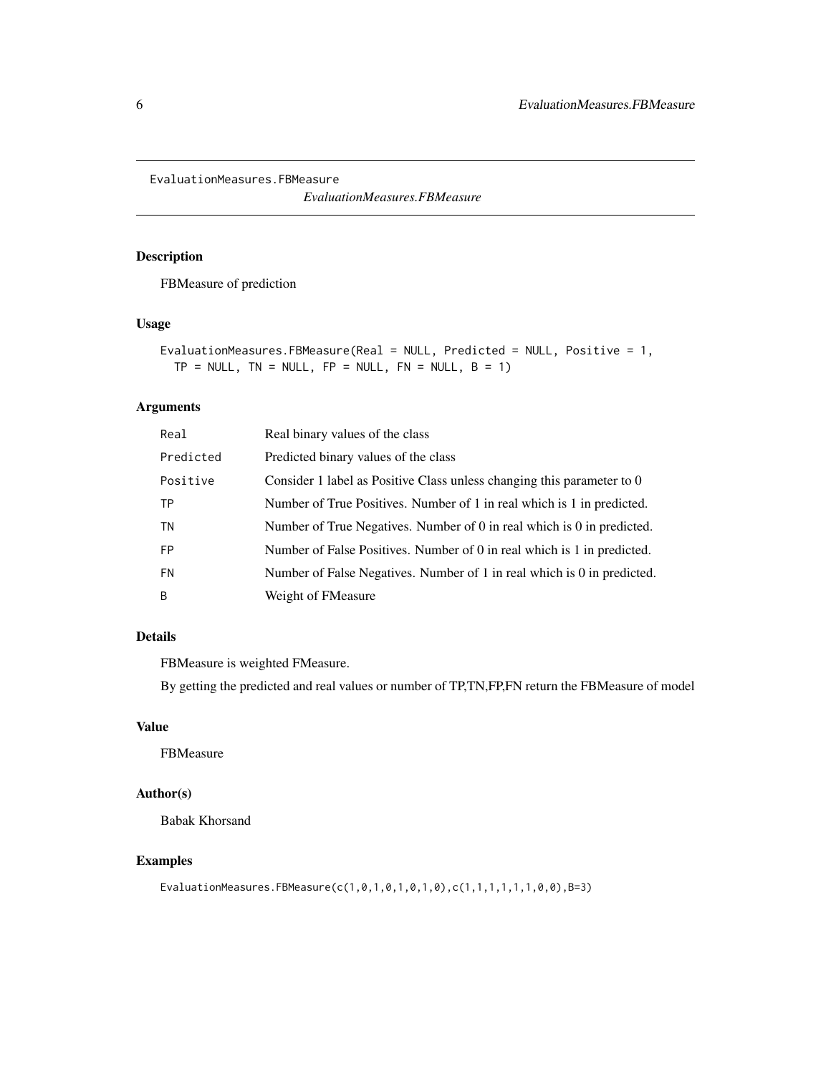<span id="page-5-0"></span>EvaluationMeasures.FBMeasure

*EvaluationMeasures.FBMeasure*

# Description

FBMeasure of prediction

#### Usage

```
EvaluationMeasures.FBMeasure(Real = NULL, Predicted = NULL, Positive = 1,
 TP = NULL, TN = NULL, FP = NULL, FN = NULL, B = 1)
```
# Arguments

| Real      | Real binary values of the class                                         |
|-----------|-------------------------------------------------------------------------|
| Predicted | Predicted binary values of the class                                    |
| Positive  | Consider 1 label as Positive Class unless changing this parameter to 0  |
| ΤP        | Number of True Positives. Number of 1 in real which is 1 in predicted.  |
| TN        | Number of True Negatives. Number of 0 in real which is 0 in predicted.  |
| <b>FP</b> | Number of False Positives. Number of 0 in real which is 1 in predicted. |
| <b>FN</b> | Number of False Negatives. Number of 1 in real which is 0 in predicted. |
| B         | Weight of FMeasure                                                      |

# Details

FBMeasure is weighted FMeasure.

By getting the predicted and real values or number of TP,TN,FP,FN return the FBMeasure of model

#### Value

FBMeasure

#### Author(s)

Babak Khorsand

#### Examples

EvaluationMeasures.FBMeasure(c(1,0,1,0,1,0,1,0),c(1,1,1,1,1,1,0,0),B=3)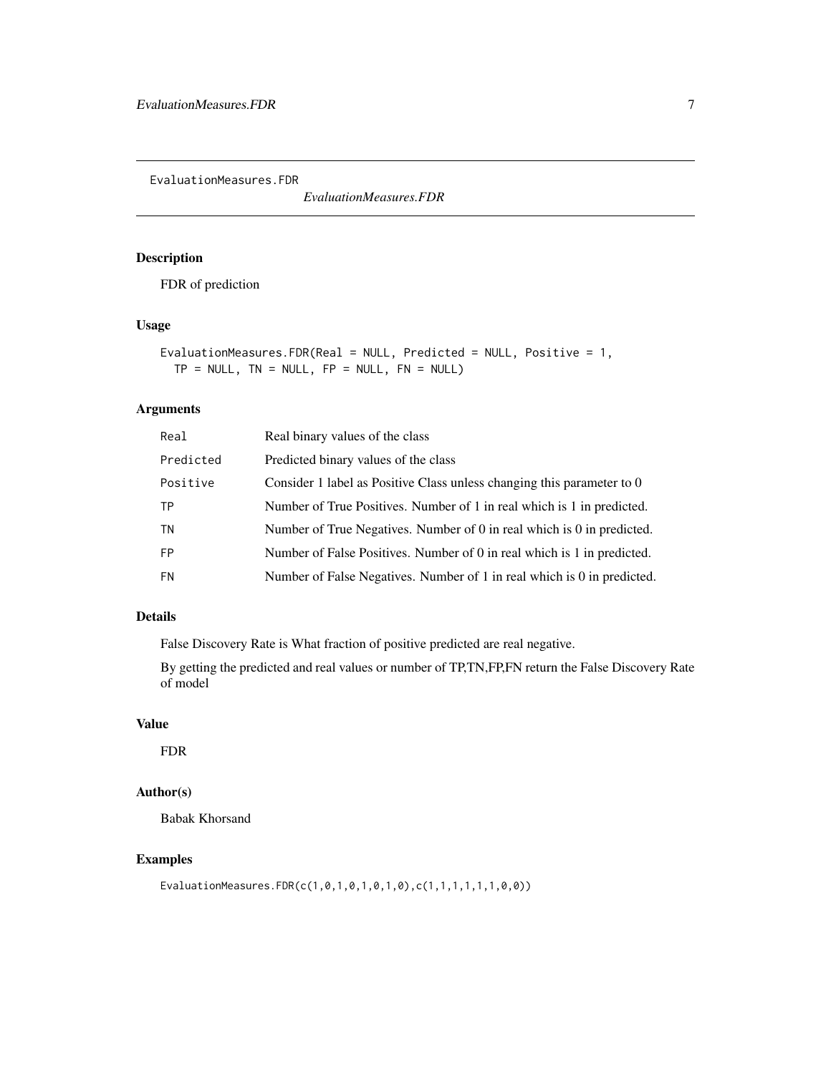<span id="page-6-0"></span>EvaluationMeasures.FDR

*EvaluationMeasures.FDR*

#### Description

FDR of prediction

#### Usage

```
EvaluationMeasures.FDR(Real = NULL, Predicted = NULL, Positive = 1,
TP = NULL, TN = NULL, FP = NULL, FN = NULL)
```
#### Arguments

| Real      | Real binary values of the class                                         |
|-----------|-------------------------------------------------------------------------|
| Predicted | Predicted binary values of the class                                    |
| Positive  | Consider 1 label as Positive Class unless changing this parameter to 0  |
| ТP        | Number of True Positives. Number of 1 in real which is 1 in predicted.  |
| <b>TN</b> | Number of True Negatives. Number of 0 in real which is 0 in predicted.  |
| <b>FP</b> | Number of False Positives. Number of 0 in real which is 1 in predicted. |
| <b>FN</b> | Number of False Negatives. Number of 1 in real which is 0 in predicted. |

#### Details

False Discovery Rate is What fraction of positive predicted are real negative.

By getting the predicted and real values or number of TP,TN,FP,FN return the False Discovery Rate of model

# Value

FDR

# Author(s)

Babak Khorsand

#### Examples

EvaluationMeasures.FDR(c(1,0,1,0,1,0,1,0),c(1,1,1,1,1,1,0,0))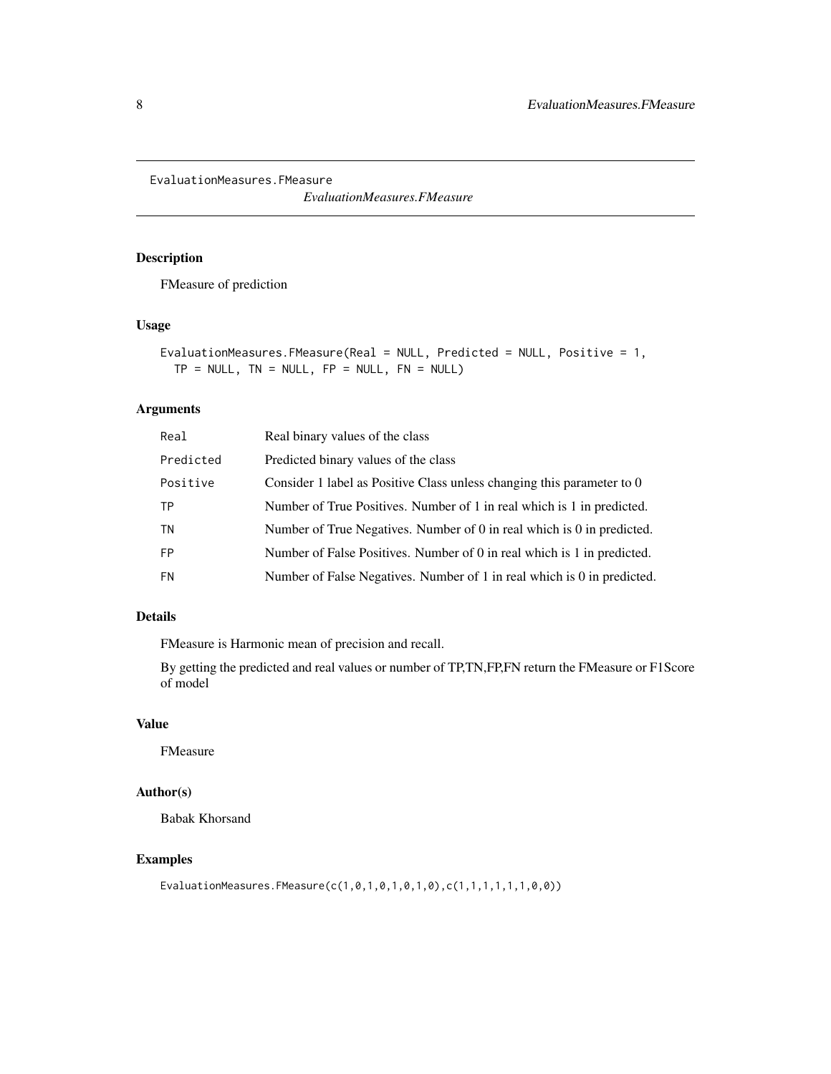<span id="page-7-0"></span>EvaluationMeasures.FMeasure

*EvaluationMeasures.FMeasure*

#### Description

FMeasure of prediction

#### Usage

```
EvaluationMeasures.FMeasure(Real = NULL, Predicted = NULL, Positive = 1,
TP = NULL, TN = NULL, FP = NULL, FN = NULL)
```
#### Arguments

| Real      | Real binary values of the class                                         |
|-----------|-------------------------------------------------------------------------|
| Predicted | Predicted binary values of the class                                    |
| Positive  | Consider 1 label as Positive Class unless changing this parameter to 0  |
| ТP        | Number of True Positives. Number of 1 in real which is 1 in predicted.  |
| ΤN        | Number of True Negatives. Number of 0 in real which is 0 in predicted.  |
| <b>FP</b> | Number of False Positives. Number of 0 in real which is 1 in predicted. |
| <b>FN</b> | Number of False Negatives. Number of 1 in real which is 0 in predicted. |
|           |                                                                         |

#### Details

FMeasure is Harmonic mean of precision and recall.

By getting the predicted and real values or number of TP,TN,FP,FN return the FMeasure or F1Score of model

# Value

FMeasure

# Author(s)

Babak Khorsand

#### Examples

EvaluationMeasures.FMeasure(c(1,0,1,0,1,0,1,0),c(1,1,1,1,1,1,0,0))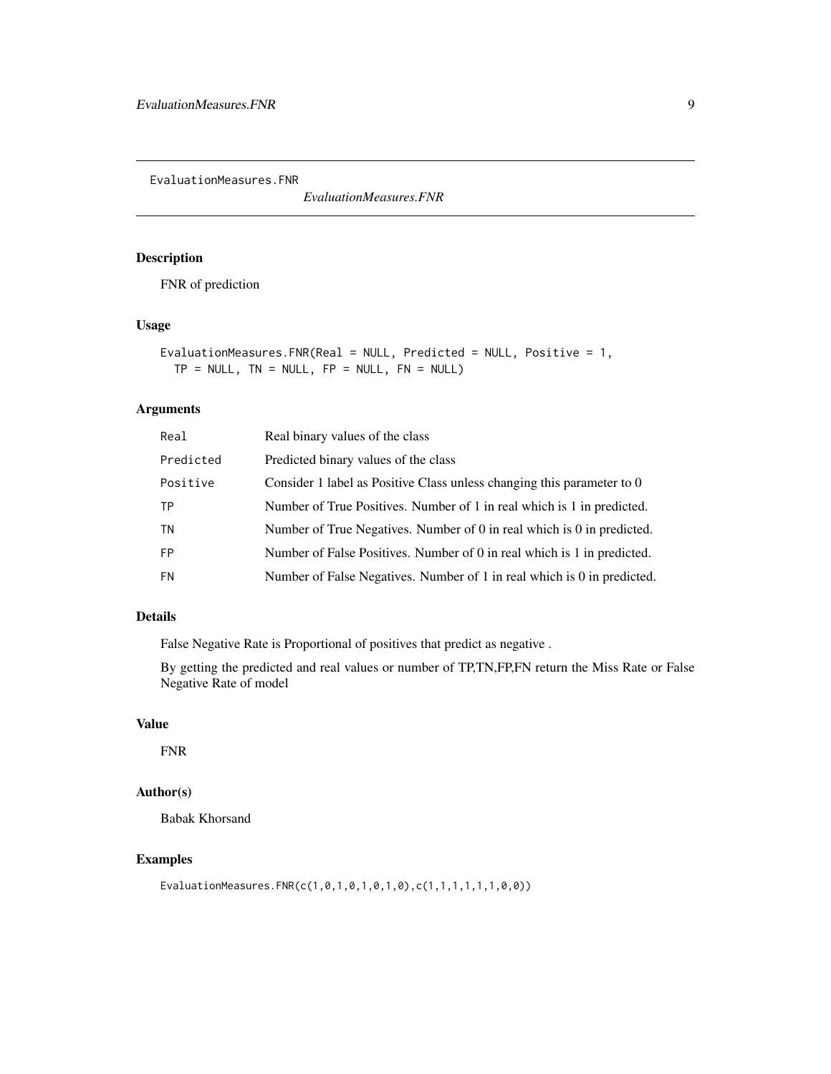<span id="page-8-0"></span>EvaluationMeasures.FNR

*EvaluationMeasures.FNR*

#### Description

FNR of prediction

#### Usage

```
EvaluationMeasures.FNR(Real = NULL, Predicted = NULL, Positive = 1,
TP = NULL, TN = NULL, FP = NULL, FN = NULL)
```
#### Arguments

| Real      | Real binary values of the class                                         |
|-----------|-------------------------------------------------------------------------|
| Predicted | Predicted binary values of the class                                    |
| Positive  | Consider 1 label as Positive Class unless changing this parameter to 0  |
| ТP        | Number of True Positives. Number of 1 in real which is 1 in predicted.  |
| <b>TN</b> | Number of True Negatives. Number of 0 in real which is 0 in predicted.  |
| <b>FP</b> | Number of False Positives. Number of 0 in real which is 1 in predicted. |
| <b>FN</b> | Number of False Negatives. Number of 1 in real which is 0 in predicted. |

#### Details

False Negative Rate is Proportional of positives that predict as negative .

By getting the predicted and real values or number of TP,TN,FP,FN return the Miss Rate or False Negative Rate of model

#### Value

FNR

# Author(s)

Babak Khorsand

#### Examples

EvaluationMeasures.FNR(c(1,0,1,0,1,0,1,0),c(1,1,1,1,1,1,0,0))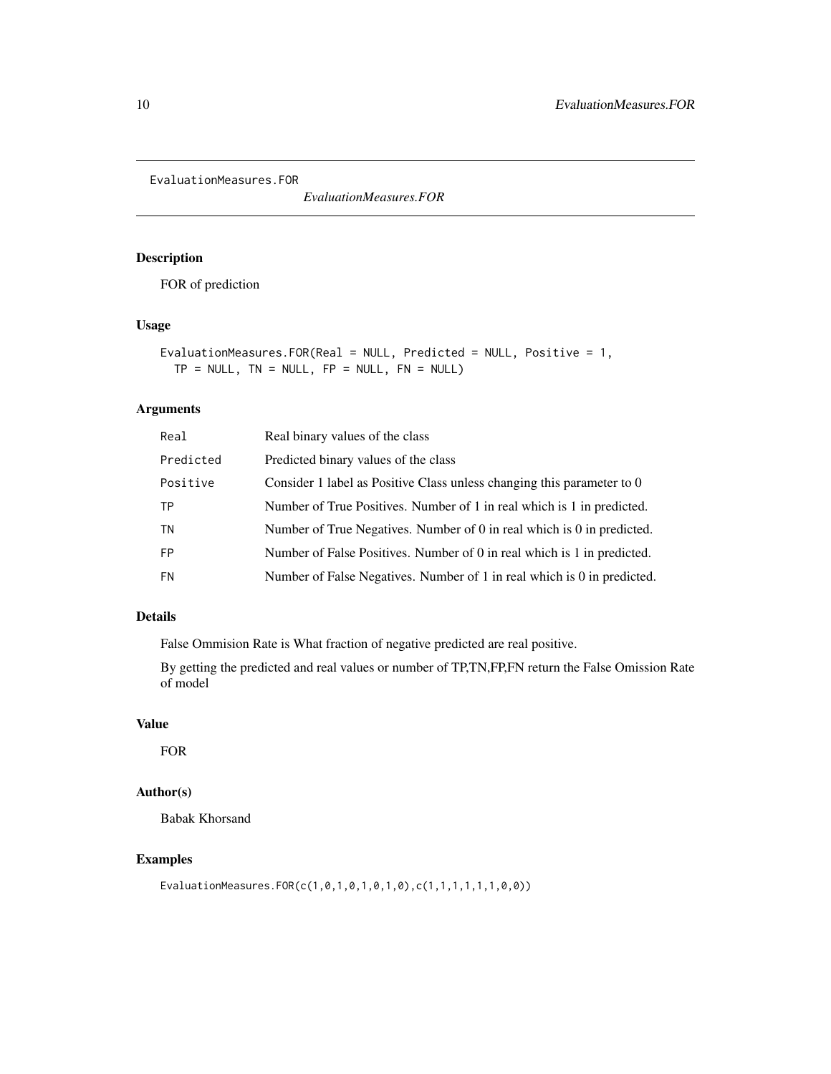<span id="page-9-0"></span>EvaluationMeasures.FOR

*EvaluationMeasures.FOR*

# Description

FOR of prediction

#### Usage

```
EvaluationMeasures.FOR(Real = NULL, Predicted = NULL, Positive = 1,
TP = NULL, TN = NULL, FP = NULL, FN = NULL)
```
#### Arguments

| Real      | Real binary values of the class                                         |
|-----------|-------------------------------------------------------------------------|
| Predicted | Predicted binary values of the class                                    |
| Positive  | Consider 1 label as Positive Class unless changing this parameter to 0  |
| ТP        | Number of True Positives. Number of 1 in real which is 1 in predicted.  |
| TN        | Number of True Negatives. Number of 0 in real which is 0 in predicted.  |
| <b>FP</b> | Number of False Positives. Number of 0 in real which is 1 in predicted. |
| <b>FN</b> | Number of False Negatives. Number of 1 in real which is 0 in predicted. |
|           |                                                                         |

#### Details

False Ommision Rate is What fraction of negative predicted are real positive.

By getting the predicted and real values or number of TP,TN,FP,FN return the False Omission Rate of model

# Value

FOR

# Author(s)

Babak Khorsand

#### Examples

EvaluationMeasures.FOR(c(1,0,1,0,1,0,1,0),c(1,1,1,1,1,1,0,0))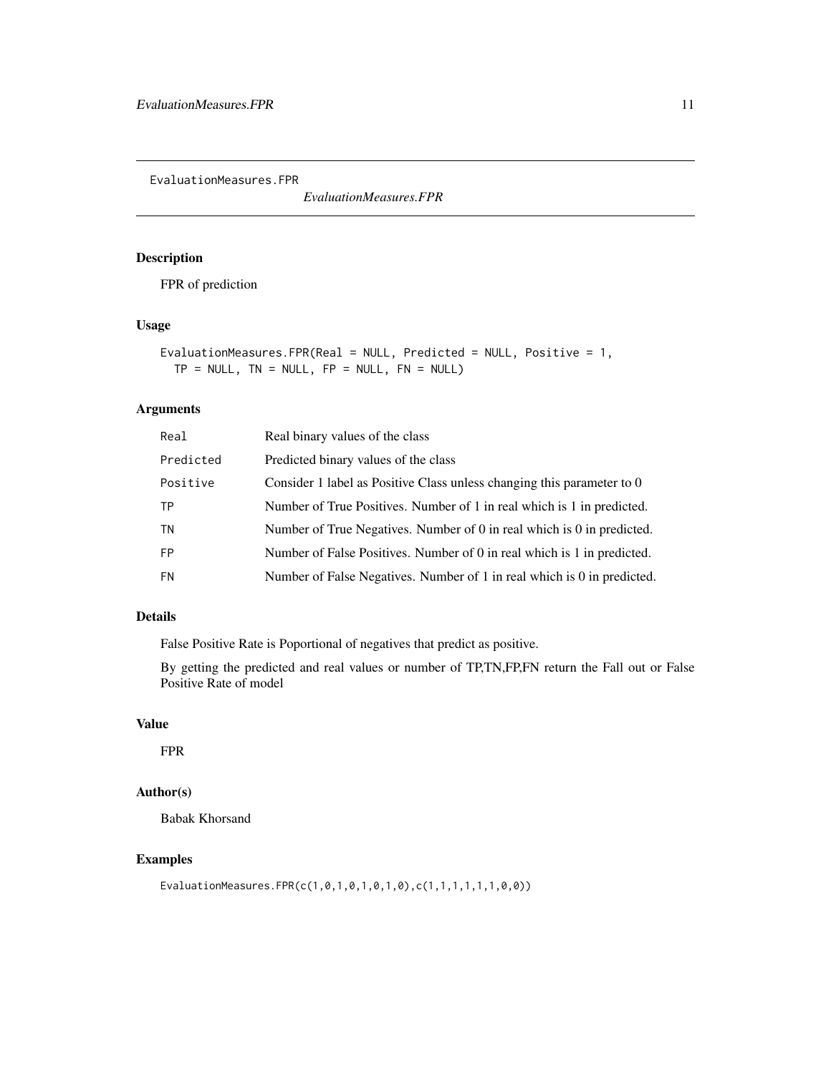<span id="page-10-0"></span>EvaluationMeasures.FPR

*EvaluationMeasures.FPR*

#### Description

FPR of prediction

#### Usage

```
EvaluationMeasures.FPR(Real = NULL, Predicted = NULL, Positive = 1,
TP = NULL, TN = NULL, FP = NULL, FN = NULL)
```
#### Arguments

| Real      | Real binary values of the class                                         |
|-----------|-------------------------------------------------------------------------|
| Predicted | Predicted binary values of the class                                    |
| Positive  | Consider 1 label as Positive Class unless changing this parameter to 0  |
| ТP        | Number of True Positives. Number of 1 in real which is 1 in predicted.  |
| TN        | Number of True Negatives. Number of 0 in real which is 0 in predicted.  |
| <b>FP</b> | Number of False Positives. Number of 0 in real which is 1 in predicted. |
| <b>FN</b> | Number of False Negatives. Number of 1 in real which is 0 in predicted. |
|           |                                                                         |

#### Details

False Positive Rate is Poportional of negatives that predict as positive.

By getting the predicted and real values or number of TP,TN,FP,FN return the Fall out or False Positive Rate of model

#### Value

FPR

# Author(s)

Babak Khorsand

#### Examples

EvaluationMeasures.FPR(c(1,0,1,0,1,0,1,0),c(1,1,1,1,1,1,0,0))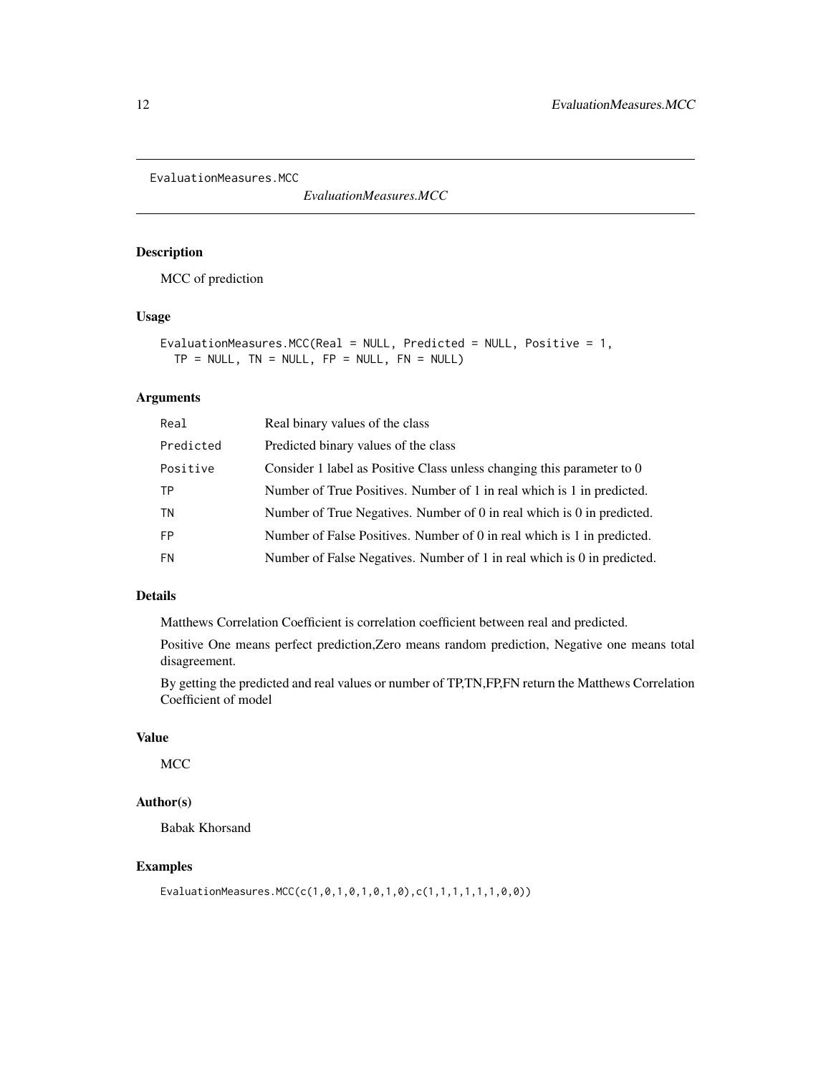<span id="page-11-0"></span>EvaluationMeasures.MCC

*EvaluationMeasures.MCC*

# Description

MCC of prediction

# Usage

```
EvaluationMeasures.MCC(Real = NULL, Predicted = NULL, Positive = 1,
 TP = NULL, TN = NULL, FP = NULL, FN = NULL)
```
#### Arguments

| Real      | Real binary values of the class                                         |
|-----------|-------------------------------------------------------------------------|
| Predicted | Predicted binary values of the class                                    |
| Positive  | Consider 1 label as Positive Class unless changing this parameter to 0  |
| TP        | Number of True Positives. Number of 1 in real which is 1 in predicted.  |
| <b>TN</b> | Number of True Negatives. Number of 0 in real which is 0 in predicted.  |
| <b>FP</b> | Number of False Positives. Number of 0 in real which is 1 in predicted. |
| <b>FN</b> | Number of False Negatives. Number of 1 in real which is 0 in predicted. |
|           |                                                                         |

# Details

Matthews Correlation Coefficient is correlation coefficient between real and predicted.

Positive One means perfect prediction,Zero means random prediction, Negative one means total disagreement.

By getting the predicted and real values or number of TP,TN,FP,FN return the Matthews Correlation Coefficient of model

#### Value

MCC

#### Author(s)

Babak Khorsand

#### Examples

EvaluationMeasures.MCC(c(1,0,1,0,1,0,1,0),c(1,1,1,1,1,1,0,0))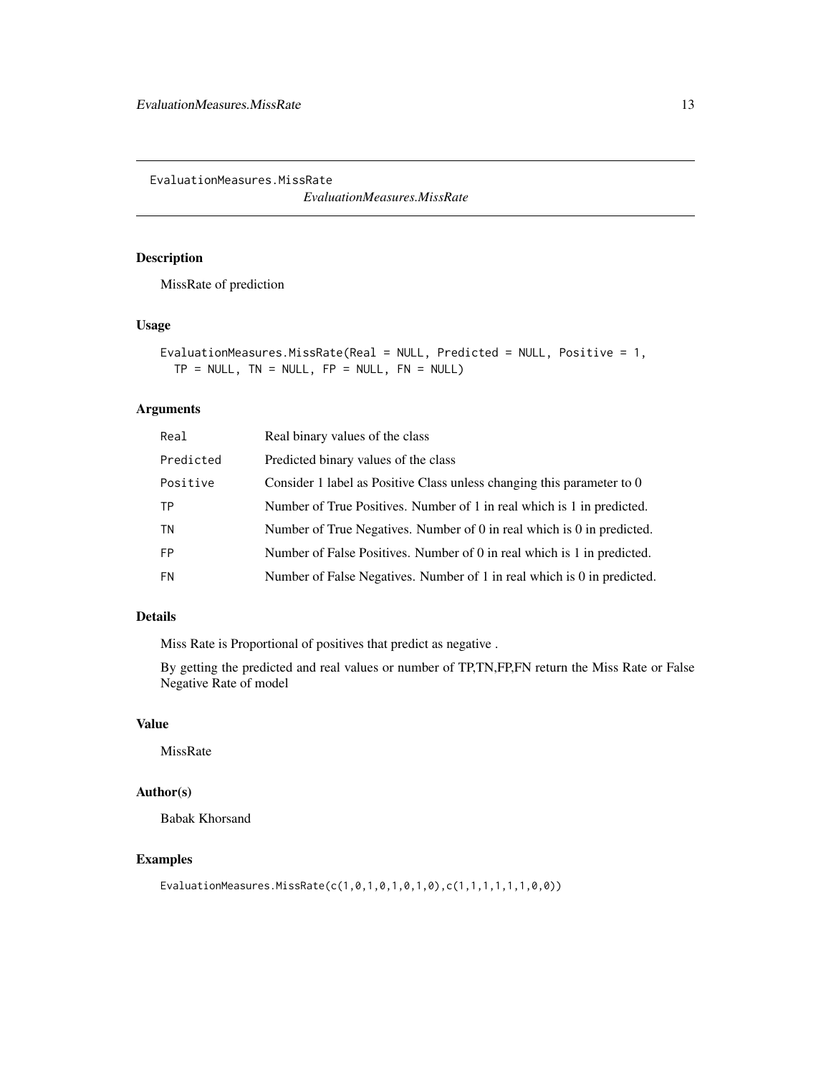<span id="page-12-0"></span>EvaluationMeasures.MissRate

*EvaluationMeasures.MissRate*

#### Description

MissRate of prediction

#### Usage

```
EvaluationMeasures.MissRate(Real = NULL, Predicted = NULL, Positive = 1,
TP = NULL, TN = NULL, FP = NULL, FN = NULL)
```
#### Arguments

| Real      | Real binary values of the class                                         |
|-----------|-------------------------------------------------------------------------|
| Predicted | Predicted binary values of the class                                    |
| Positive  | Consider 1 label as Positive Class unless changing this parameter to 0  |
| ТP        | Number of True Positives. Number of 1 in real which is 1 in predicted.  |
| TN        | Number of True Negatives. Number of 0 in real which is 0 in predicted.  |
| <b>FP</b> | Number of False Positives. Number of 0 in real which is 1 in predicted. |
| <b>FN</b> | Number of False Negatives. Number of 1 in real which is 0 in predicted. |
|           |                                                                         |

#### Details

Miss Rate is Proportional of positives that predict as negative .

By getting the predicted and real values or number of TP,TN,FP,FN return the Miss Rate or False Negative Rate of model

# Value

MissRate

#### Author(s)

Babak Khorsand

#### Examples

EvaluationMeasures.MissRate(c(1,0,1,0,1,0,1,0),c(1,1,1,1,1,1,0,0))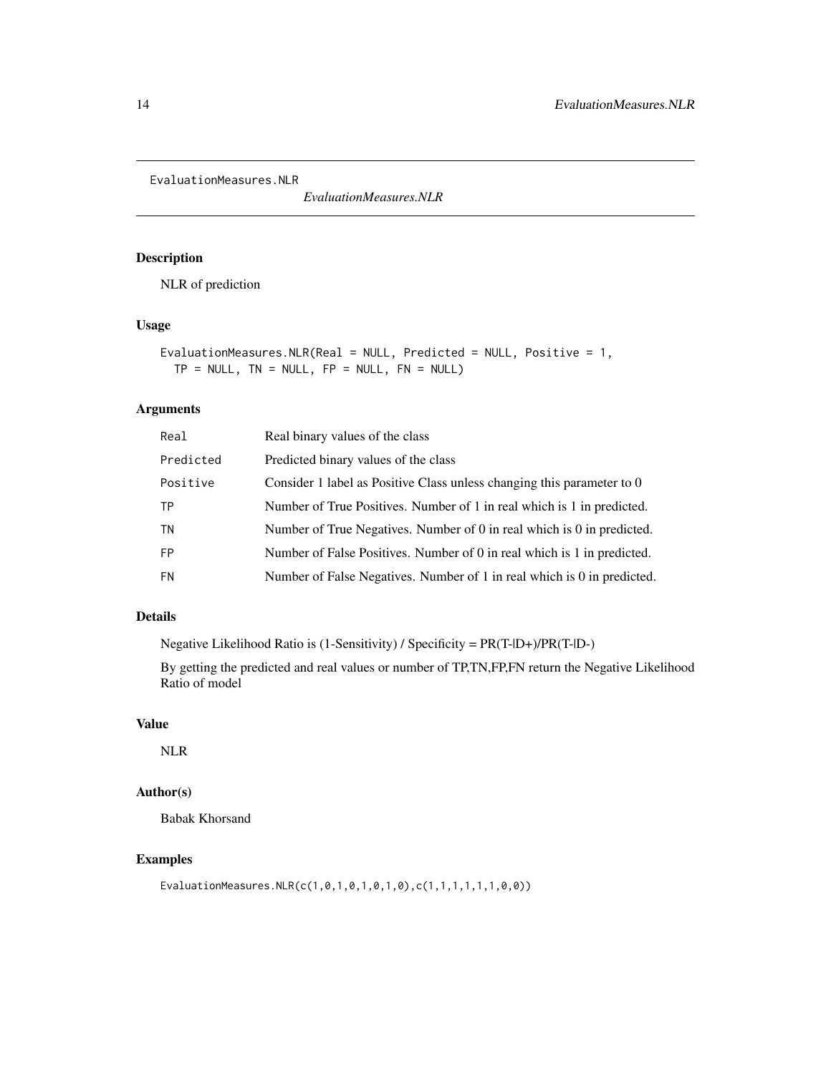<span id="page-13-0"></span>EvaluationMeasures.NLR

*EvaluationMeasures.NLR*

# Description

NLR of prediction

#### Usage

EvaluationMeasures.NLR(Real = NULL, Predicted = NULL, Positive = 1,  $TP = NULL$ ,  $TN = NULL$ ,  $FP = NULL$ ,  $FN = NULL$ )

#### Arguments

| Real      | Real binary values of the class                                         |
|-----------|-------------------------------------------------------------------------|
| Predicted | Predicted binary values of the class                                    |
| Positive  | Consider 1 label as Positive Class unless changing this parameter to 0  |
| ТP        | Number of True Positives. Number of 1 in real which is 1 in predicted.  |
| TN        | Number of True Negatives. Number of 0 in real which is 0 in predicted.  |
| <b>FP</b> | Number of False Positives. Number of 0 in real which is 1 in predicted. |
| <b>FN</b> | Number of False Negatives. Number of 1 in real which is 0 in predicted. |
|           |                                                                         |

#### Details

Negative Likelihood Ratio is (1-Sensitivity) / Specificity = PR(T-|D+)/PR(T-|D-)

By getting the predicted and real values or number of TP,TN,FP,FN return the Negative Likelihood Ratio of model

# Value

NLR

# Author(s)

Babak Khorsand

#### Examples

EvaluationMeasures.NLR(c(1,0,1,0,1,0,1,0),c(1,1,1,1,1,1,0,0))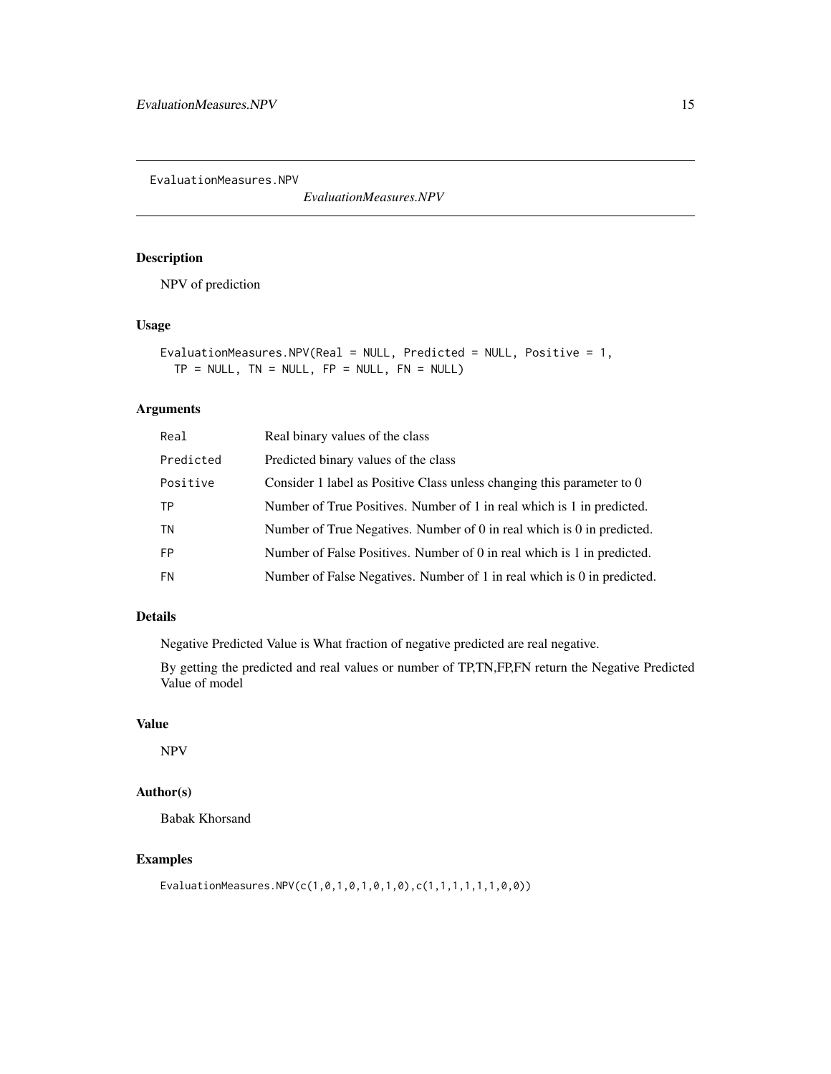<span id="page-14-0"></span>EvaluationMeasures.NPV

*EvaluationMeasures.NPV*

#### Description

NPV of prediction

#### Usage

EvaluationMeasures.NPV(Real = NULL, Predicted = NULL, Positive =  $1$ ,  $TP = NULL$ ,  $TN = NULL$ ,  $FP = NULL$ ,  $FN = NULL$ )

#### Arguments

| Real      | Real binary values of the class                                         |
|-----------|-------------------------------------------------------------------------|
| Predicted | Predicted binary values of the class                                    |
| Positive  | Consider 1 label as Positive Class unless changing this parameter to 0  |
| ТP        | Number of True Positives. Number of 1 in real which is 1 in predicted.  |
| ΤN        | Number of True Negatives. Number of 0 in real which is 0 in predicted.  |
| <b>FP</b> | Number of False Positives. Number of 0 in real which is 1 in predicted. |
| <b>FN</b> | Number of False Negatives. Number of 1 in real which is 0 in predicted. |

#### Details

Negative Predicted Value is What fraction of negative predicted are real negative.

By getting the predicted and real values or number of TP,TN,FP,FN return the Negative Predicted Value of model

#### Value

NPV

# Author(s)

Babak Khorsand

#### Examples

EvaluationMeasures.NPV(c(1,0,1,0,1,0,1,0),c(1,1,1,1,1,1,0,0))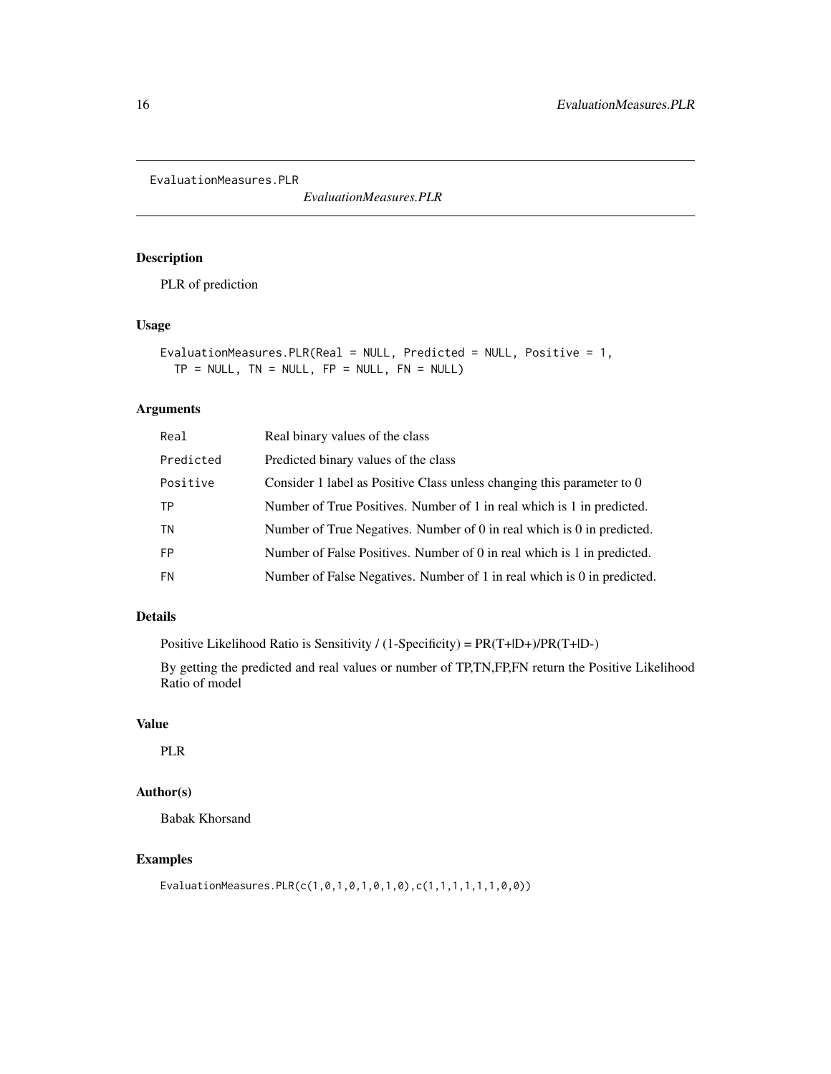<span id="page-15-0"></span>EvaluationMeasures.PLR

*EvaluationMeasures.PLR*

# Description

PLR of prediction

#### Usage

EvaluationMeasures.PLR(Real = NULL, Predicted = NULL, Positive = 1,  $TP = NULL$ ,  $TN = NULL$ ,  $FP = NULL$ ,  $FN = NULL$ )

#### Arguments

| Real      | Real binary values of the class                                         |
|-----------|-------------------------------------------------------------------------|
| Predicted | Predicted binary values of the class                                    |
| Positive  | Consider 1 label as Positive Class unless changing this parameter to 0  |
| ТP        | Number of True Positives. Number of 1 in real which is 1 in predicted.  |
| ΤN        | Number of True Negatives. Number of 0 in real which is 0 in predicted.  |
| <b>FP</b> | Number of False Positives. Number of 0 in real which is 1 in predicted. |
| <b>FN</b> | Number of False Negatives. Number of 1 in real which is 0 in predicted. |
|           |                                                                         |

#### Details

Positive Likelihood Ratio is Sensitivity / (1-Specificity) = PR(T+|D+)/PR(T+|D-)

By getting the predicted and real values or number of TP,TN,FP,FN return the Positive Likelihood Ratio of model

# Value

PLR

# Author(s)

Babak Khorsand

#### Examples

EvaluationMeasures.PLR(c(1,0,1,0,1,0,1,0),c(1,1,1,1,1,1,0,0))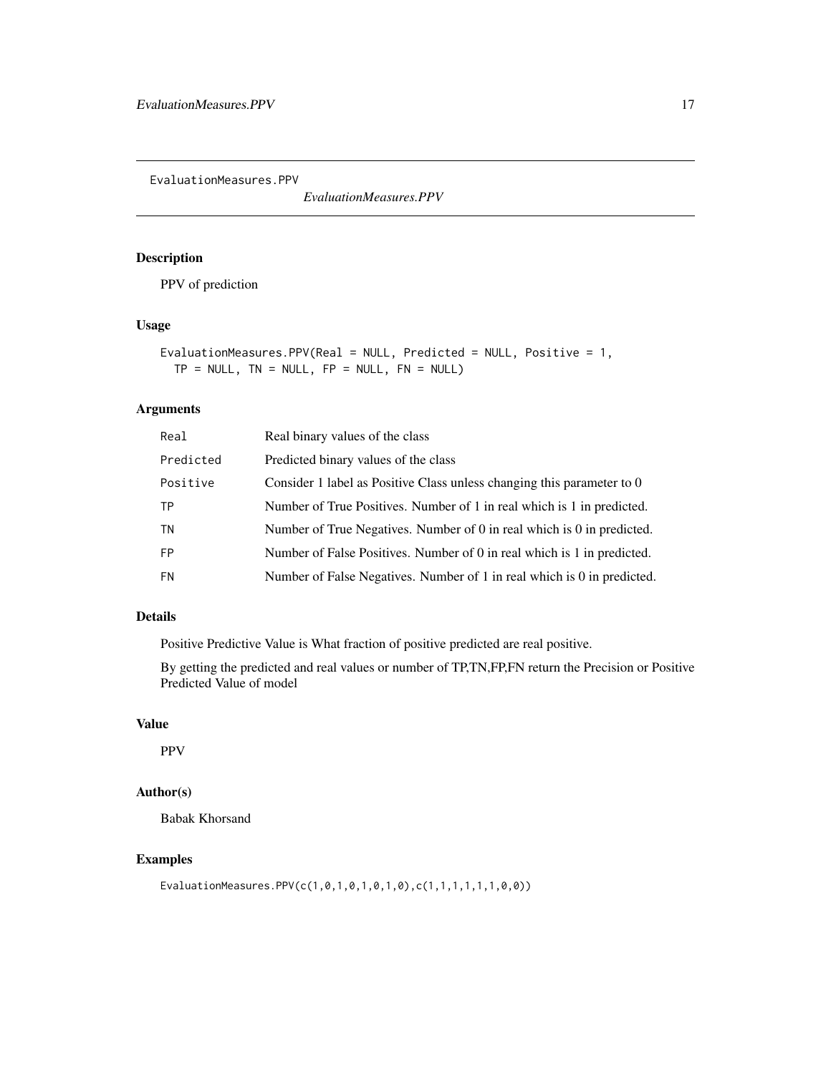<span id="page-16-0"></span>EvaluationMeasures.PPV

*EvaluationMeasures.PPV*

# Description

PPV of prediction

#### Usage

```
EvaluationMeasures.PPV(Real = NULL, Predicted = NULL, Positive = 1,
TP = NULL, TN = NULL, FP = NULL, FN = NULL)
```
#### Arguments

| Real      | Real binary values of the class                                         |
|-----------|-------------------------------------------------------------------------|
| Predicted | Predicted binary values of the class                                    |
| Positive  | Consider 1 label as Positive Class unless changing this parameter to 0  |
| TP        | Number of True Positives. Number of 1 in real which is 1 in predicted.  |
| TN        | Number of True Negatives. Number of 0 in real which is 0 in predicted.  |
| <b>FP</b> | Number of False Positives. Number of 0 in real which is 1 in predicted. |
| <b>FN</b> | Number of False Negatives. Number of 1 in real which is 0 in predicted. |
|           |                                                                         |

#### Details

Positive Predictive Value is What fraction of positive predicted are real positive.

By getting the predicted and real values or number of TP,TN,FP,FN return the Precision or Positive Predicted Value of model

#### Value

PPV

# Author(s)

Babak Khorsand

#### Examples

EvaluationMeasures.PPV(c(1,0,1,0,1,0,1,0),c(1,1,1,1,1,1,0,0))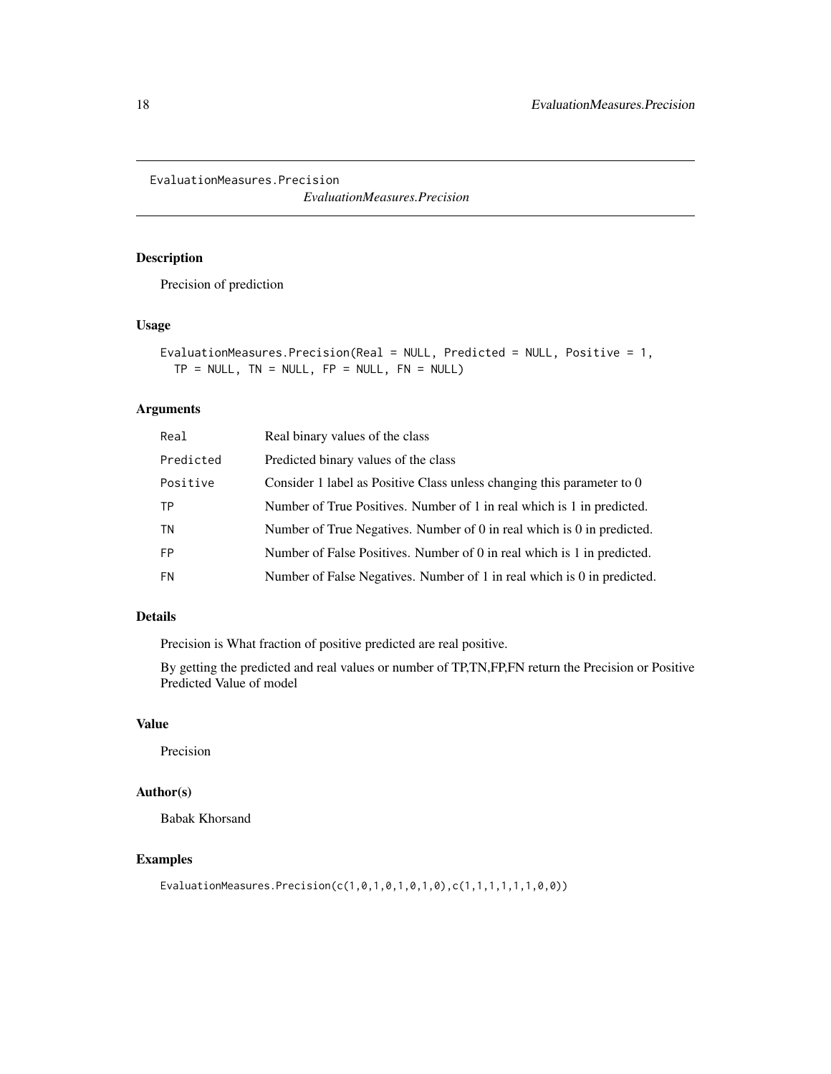<span id="page-17-0"></span>EvaluationMeasures.Precision

*EvaluationMeasures.Precision*

#### Description

Precision of prediction

#### Usage

```
EvaluationMeasures.Precision(Real = NULL, Predicted = NULL, Positive = 1,
TP = NULL, TN = NULL, FP = NULL, FN = NULL)
```
#### Arguments

| Real      | Real binary values of the class                                         |
|-----------|-------------------------------------------------------------------------|
| Predicted | Predicted binary values of the class                                    |
| Positive  | Consider 1 label as Positive Class unless changing this parameter to 0  |
| ТP        | Number of True Positives. Number of 1 in real which is 1 in predicted.  |
| TN        | Number of True Negatives. Number of 0 in real which is 0 in predicted.  |
| <b>FP</b> | Number of False Positives. Number of 0 in real which is 1 in predicted. |
| <b>FN</b> | Number of False Negatives. Number of 1 in real which is 0 in predicted. |
|           |                                                                         |

#### Details

Precision is What fraction of positive predicted are real positive.

By getting the predicted and real values or number of TP,TN,FP,FN return the Precision or Positive Predicted Value of model

# Value

Precision

# Author(s)

Babak Khorsand

#### Examples

EvaluationMeasures.Precision(c(1,0,1,0,1,0,1,0),c(1,1,1,1,1,1,0,0))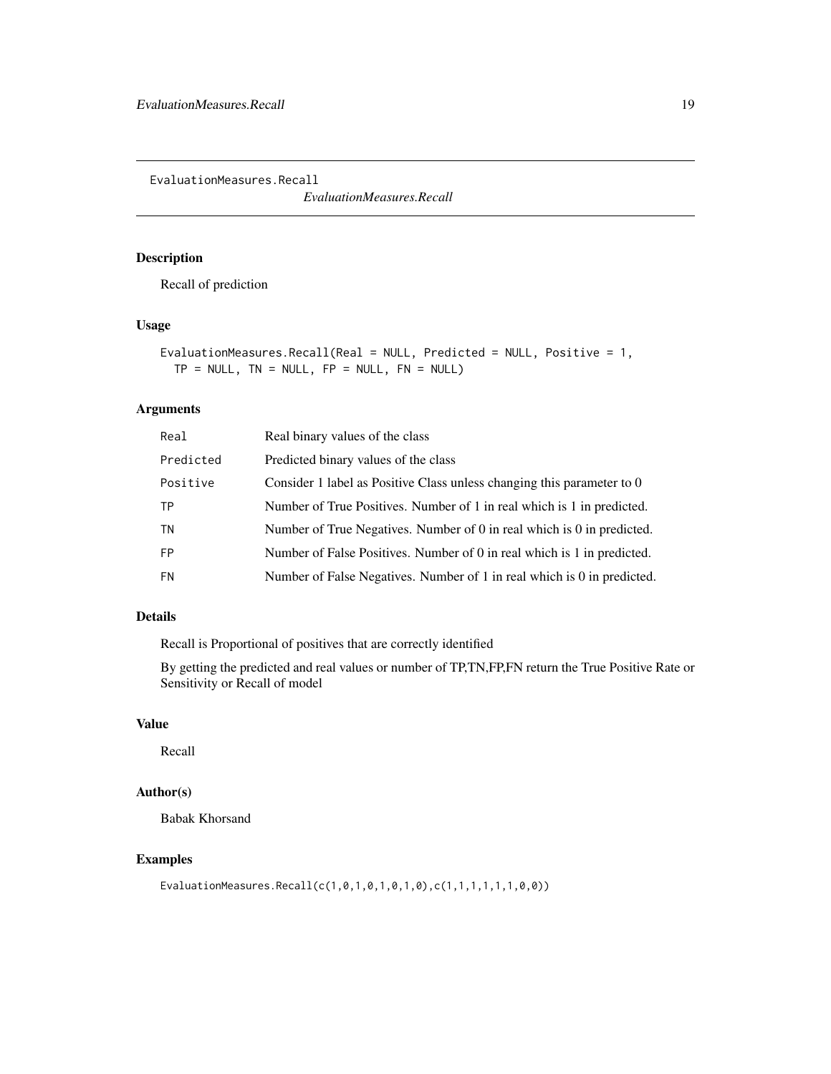<span id="page-18-0"></span>EvaluationMeasures.Recall

*EvaluationMeasures.Recall*

#### Description

Recall of prediction

#### Usage

```
EvaluationMeasures.Recall(Real = NULL, Predicted = NULL, Positive = 1,
TP = NULL, TN = NULL, FP = NULL, FN = NULL)
```
#### Arguments

| Real      | Real binary values of the class                                         |
|-----------|-------------------------------------------------------------------------|
| Predicted | Predicted binary values of the class                                    |
| Positive  | Consider 1 label as Positive Class unless changing this parameter to 0  |
| ТP        | Number of True Positives. Number of 1 in real which is 1 in predicted.  |
| TN        | Number of True Negatives. Number of 0 in real which is 0 in predicted.  |
| <b>FP</b> | Number of False Positives. Number of 0 in real which is 1 in predicted. |
| <b>FN</b> | Number of False Negatives. Number of 1 in real which is 0 in predicted. |
|           |                                                                         |

#### Details

Recall is Proportional of positives that are correctly identified

By getting the predicted and real values or number of TP,TN,FP,FN return the True Positive Rate or Sensitivity or Recall of model

# Value

Recall

# Author(s)

Babak Khorsand

#### Examples

EvaluationMeasures.Recall(c(1,0,1,0,1,0,1,0),c(1,1,1,1,1,1,0,0))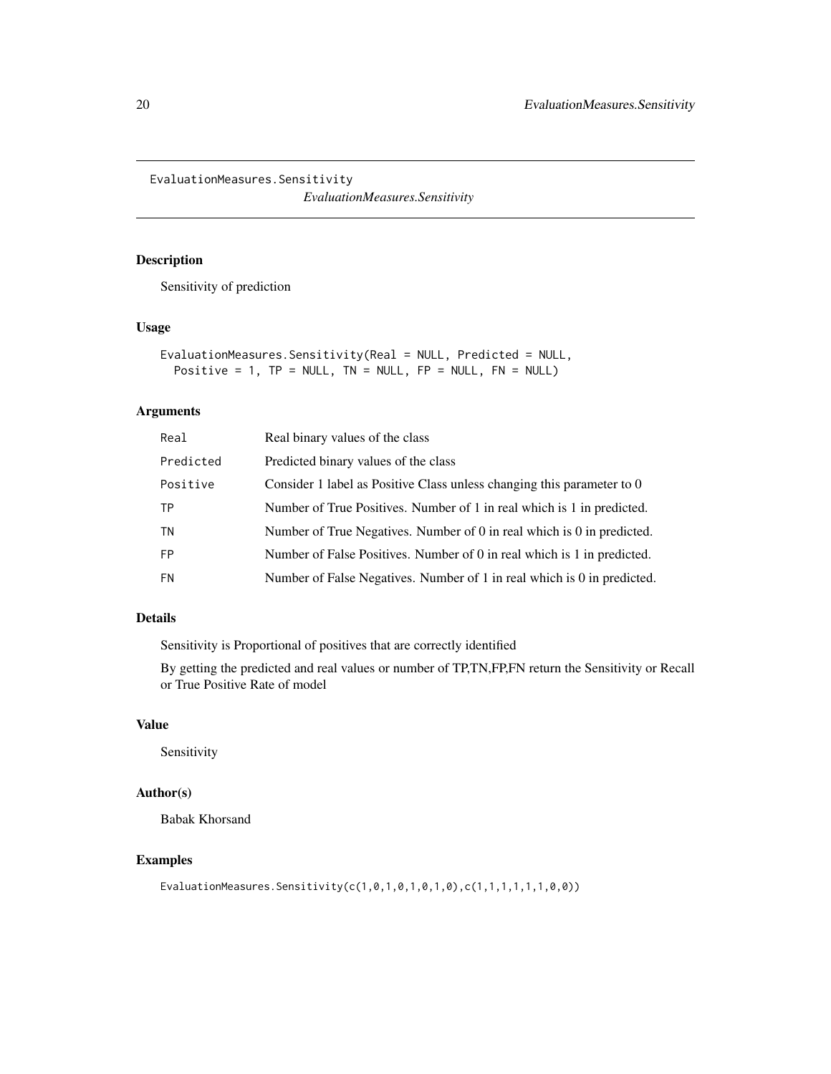<span id="page-19-0"></span>EvaluationMeasures.Sensitivity

*EvaluationMeasures.Sensitivity*

#### Description

Sensitivity of prediction

#### Usage

```
EvaluationMeasures.Sensitivity(Real = NULL, Predicted = NULL,
Positive = 1, TP = NULL, TN = NULL, FP = NULL, FN = NULL
```
#### Arguments

| Real      | Real binary values of the class                                         |
|-----------|-------------------------------------------------------------------------|
| Predicted | Predicted binary values of the class                                    |
| Positive  | Consider 1 label as Positive Class unless changing this parameter to 0  |
| ТP        | Number of True Positives. Number of 1 in real which is 1 in predicted.  |
| TN        | Number of True Negatives. Number of 0 in real which is 0 in predicted.  |
| <b>FP</b> | Number of False Positives. Number of 0 in real which is 1 in predicted. |
| <b>FN</b> | Number of False Negatives. Number of 1 in real which is 0 in predicted. |
|           |                                                                         |

#### Details

Sensitivity is Proportional of positives that are correctly identified

By getting the predicted and real values or number of TP,TN,FP,FN return the Sensitivity or Recall or True Positive Rate of model

# Value

Sensitivity

#### Author(s)

Babak Khorsand

#### Examples

EvaluationMeasures.Sensitivity(c(1,0,1,0,1,0,1,0),c(1,1,1,1,1,1,0,0))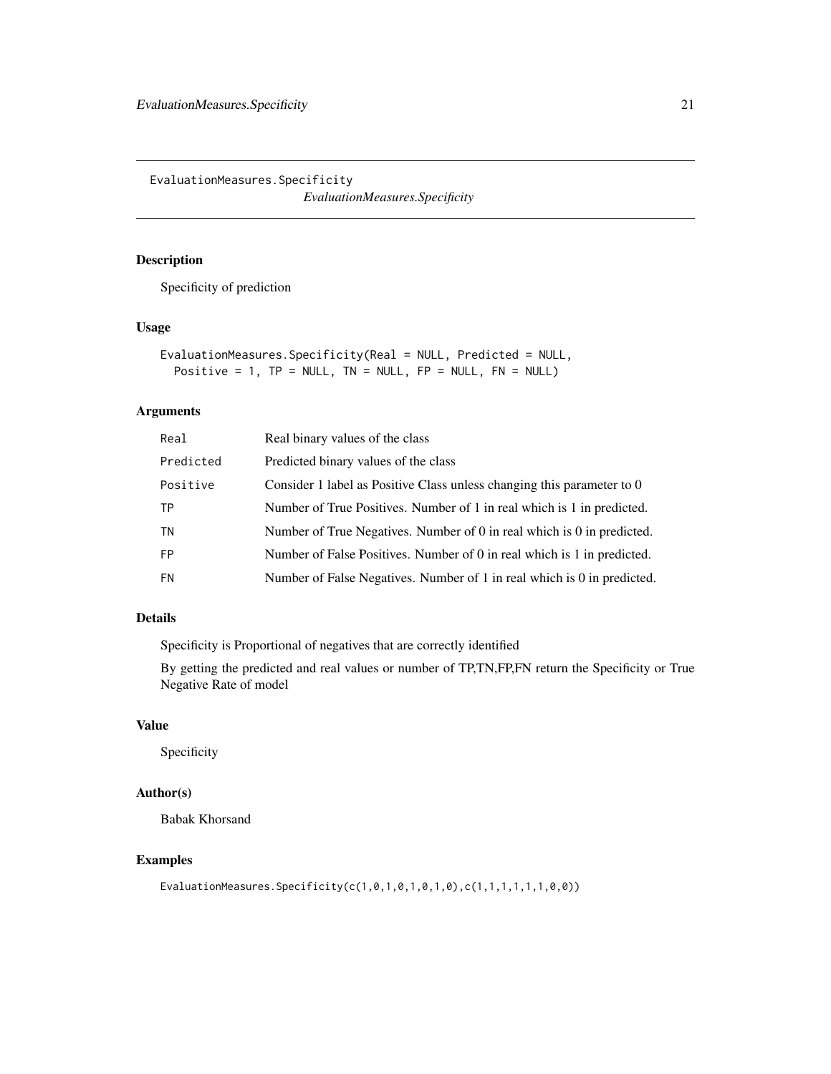<span id="page-20-0"></span>EvaluationMeasures.Specificity *EvaluationMeasures.Specificity*

#### Description

Specificity of prediction

# Usage

```
EvaluationMeasures.Specificity(Real = NULL, Predicted = NULL,
Positive = 1, TP = NULL, TN = NULL, FP = NULL, FN = NULL
```
#### Arguments

| Real      | Real binary values of the class                                         |
|-----------|-------------------------------------------------------------------------|
| Predicted | Predicted binary values of the class                                    |
| Positive  | Consider 1 label as Positive Class unless changing this parameter to 0  |
| TP        | Number of True Positives. Number of 1 in real which is 1 in predicted.  |
| TN        | Number of True Negatives. Number of 0 in real which is 0 in predicted.  |
| <b>FP</b> | Number of False Positives. Number of 0 in real which is 1 in predicted. |
| <b>FN</b> | Number of False Negatives. Number of 1 in real which is 0 in predicted. |
|           |                                                                         |

#### Details

Specificity is Proportional of negatives that are correctly identified

By getting the predicted and real values or number of TP,TN,FP,FN return the Specificity or True Negative Rate of model

# Value

Specificity

#### Author(s)

Babak Khorsand

#### Examples

EvaluationMeasures.Specificity(c(1,0,1,0,1,0,1,0),c(1,1,1,1,1,1,0,0))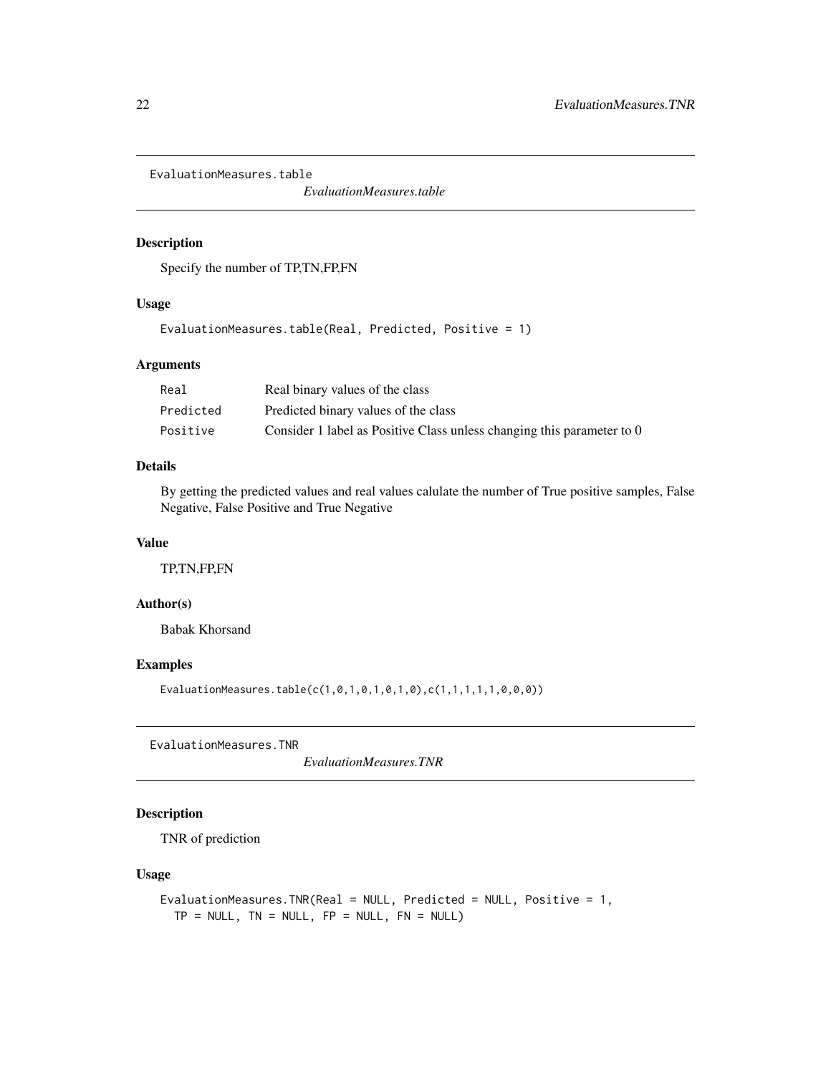<span id="page-21-0"></span>EvaluationMeasures.table

*EvaluationMeasures.table*

#### Description

Specify the number of TP,TN,FP,FN

#### Usage

EvaluationMeasures.table(Real, Predicted, Positive = 1)

#### Arguments

| Real      | Real binary values of the class                                        |
|-----------|------------------------------------------------------------------------|
| Predicted | Predicted binary values of the class                                   |
| Positive  | Consider 1 label as Positive Class unless changing this parameter to 0 |

#### Details

By getting the predicted values and real values calulate the number of True positive samples, False Negative, False Positive and True Negative

#### Value

TP,TN,FP,FN

# Author(s)

Babak Khorsand

#### Examples

EvaluationMeasures.table(c(1,0,1,0,1,0,1,0),c(1,1,1,1,1,0,0,0))

EvaluationMeasures.TNR

*EvaluationMeasures.TNR*

# Description

TNR of prediction

# Usage

```
EvaluationMeasures.TNR(Real = NULL, Predicted = NULL, Positive = 1,
 TP = NULL, TN = NULL, FP = NULL, FN = NULL)
```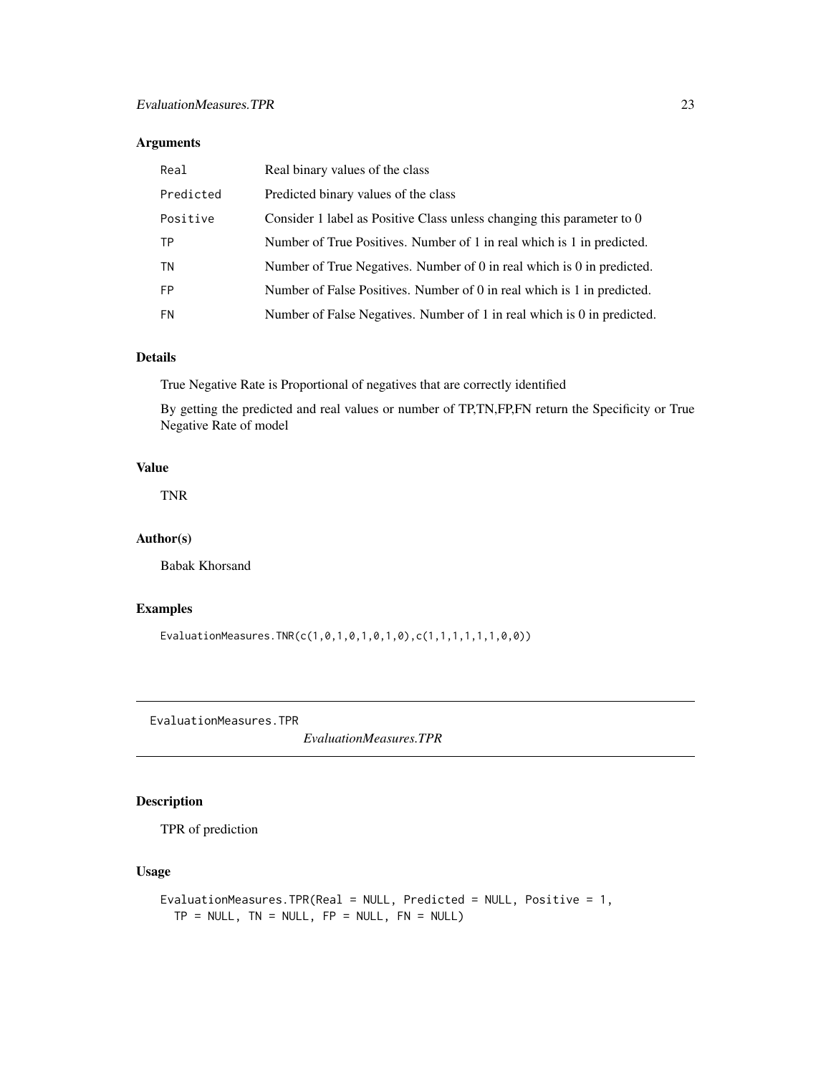# <span id="page-22-0"></span>Arguments

| Real      | Real binary values of the class                                         |
|-----------|-------------------------------------------------------------------------|
| Predicted | Predicted binary values of the class                                    |
| Positive  | Consider 1 label as Positive Class unless changing this parameter to 0  |
| TP        | Number of True Positives. Number of 1 in real which is 1 in predicted.  |
| TN        | Number of True Negatives. Number of 0 in real which is 0 in predicted.  |
| <b>FP</b> | Number of False Positives. Number of 0 in real which is 1 in predicted. |
| FN        | Number of False Negatives. Number of 1 in real which is 0 in predicted. |

# Details

True Negative Rate is Proportional of negatives that are correctly identified

By getting the predicted and real values or number of TP,TN,FP,FN return the Specificity or True Negative Rate of model

#### Value

TNR

# Author(s)

Babak Khorsand

# Examples

EvaluationMeasures.TNR(c(1,0,1,0,1,0,1,0),c(1,1,1,1,1,1,0,0))

EvaluationMeasures.TPR

*EvaluationMeasures.TPR*

## Description

TPR of prediction

#### Usage

```
EvaluationMeasures.TPR(Real = NULL, Predicted = NULL, Positive = 1,
TP = NULL, TN = NULL, FP = NULL, FN = NULL)
```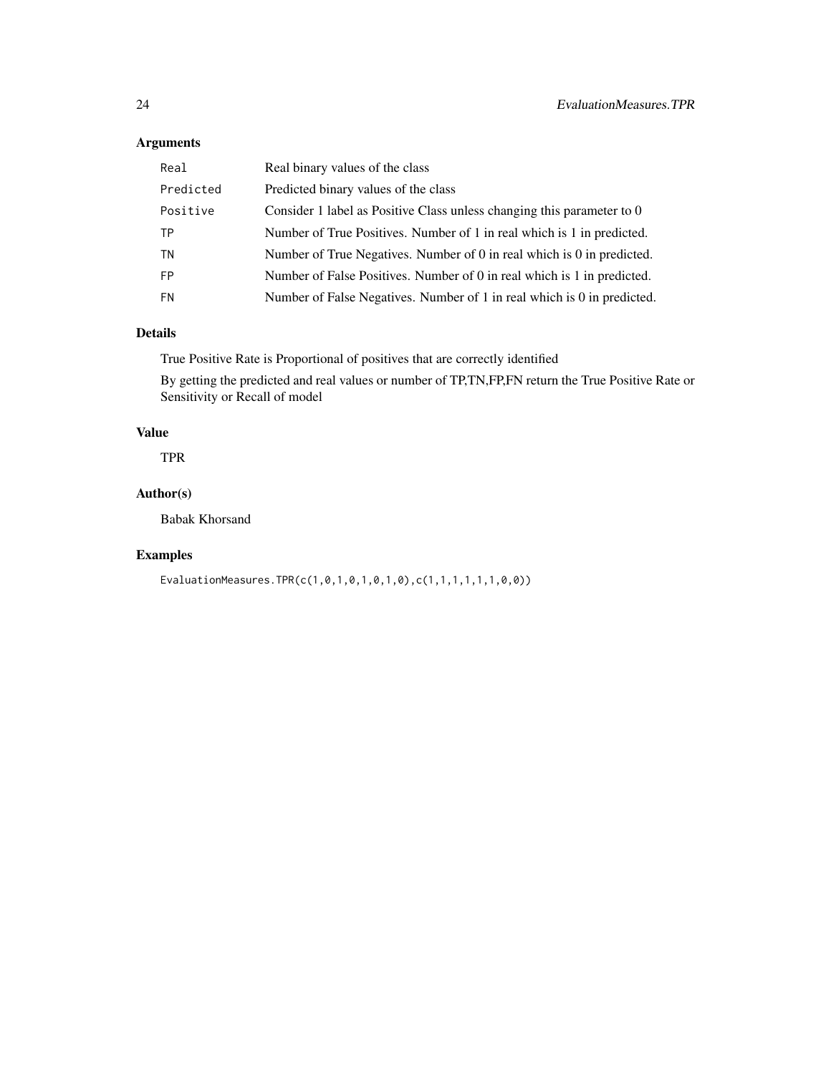# Arguments

| Real      | Real binary values of the class                                         |
|-----------|-------------------------------------------------------------------------|
| Predicted | Predicted binary values of the class                                    |
| Positive  | Consider 1 label as Positive Class unless changing this parameter to 0  |
| TP        | Number of True Positives. Number of 1 in real which is 1 in predicted.  |
| TN        | Number of True Negatives. Number of 0 in real which is 0 in predicted.  |
| <b>FP</b> | Number of False Positives. Number of 0 in real which is 1 in predicted. |
| FN        | Number of False Negatives. Number of 1 in real which is 0 in predicted. |

#### Details

True Positive Rate is Proportional of positives that are correctly identified

By getting the predicted and real values or number of TP,TN,FP,FN return the True Positive Rate or Sensitivity or Recall of model

# Value

TPR

# Author(s)

Babak Khorsand

#### Examples

EvaluationMeasures.TPR(c(1,0,1,0,1,0,1,0),c(1,1,1,1,1,1,0,0))